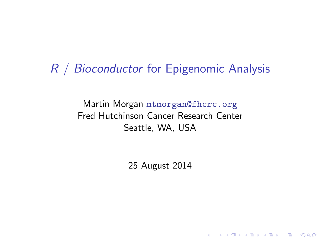### R / Bioconductor for Epigenomic Analysis

Martin Morgan <mtmorgan@fhcrc.org> Fred Hutchinson Cancer Research Center Seattle, WA, USA

25 August 2014

K ロ ▶ K 個 ▶ K 할 ▶ K 할 ▶ 이 할 → 9 Q Q →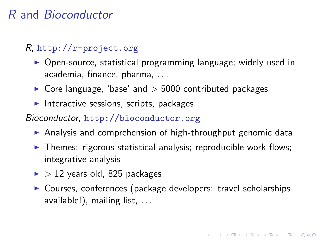#### R and Bioconductor

#### R, <http://r-project.org>

- $\triangleright$  Open-source, statistical programming language; widely used in academia, finance, pharma, . . .
- $\triangleright$  Core language, 'base' and  $>$  5000 contributed packages
- Interactive sessions, scripts, packages

#### Bioconductor, <http://bioconductor.org>

- $\triangleright$  Analysis and comprehension of high-throughput genomic data
- $\triangleright$  Themes: rigorous statistical analysis; reproducible work flows; integrative analysis
- $\blacktriangleright$  > 12 years old, 825 packages
- $\triangleright$  Courses, conferences (package developers: travel scholarships available!), mailing list, . . .

**KORKARYKERKER POLO**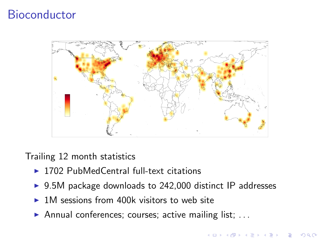### **Bioconductor**



Trailing 12 month statistics

- $\triangleright$  1702 PubMedCentral full-text citations
- $\triangleright$  9.5M package downloads to 242,000 distinct IP addresses

イロメ 不倒 メイミメイミメー 君

 $2990$ 

- $\triangleright$  1M sessions from 400k visitors to web site
- Annual conferences; courses; active mailing list;  $\dots$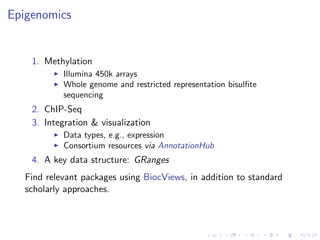## **Epigenomics**

- 1. Methylation
	- $\blacktriangleright$  Illumina 450 $k$  arrays
	- $\triangleright$  Whole genome and restricted representation bisulfite sequencing
- 2. ChIP-Seq
- 3. Integration & visualization
	- $\blacktriangleright$  Data types, e.g., expression
	- $\triangleright$  Consortium resources via [AnnotationHub](http://bioconductor.org/packages/release/bioc/html/AnnotationHub.html)
- 4. A key data structure: GRanges

<span id="page-3-0"></span>Find relevant packages using [BiocViews,](http://bioconductor.org/packages/release/BiocViews.html) in addition to standard scholarly approaches.

K ロ ▶ K 個 ▶ K 할 ▶ K 할 ▶ 이 할 → 이익 @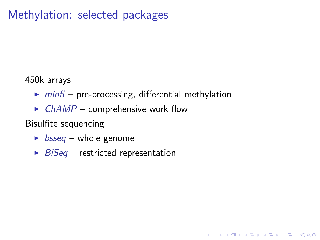### Methylation: selected packages

450k arrays

 $\triangleright$  [minfi](http://bioconductor.org/packages/release/bioc/html/minfi.html) – pre-processing, differential methylation

K ロ ▶ K 個 ▶ K 할 ▶ K 할 ▶ 이 할 → 9 Q Q →

 $\triangleright$  [ChAMP](http://bioconductor.org/packages/release/bioc/html/ChAMP.html) – comprehensive work flow

Bisulfite sequencing

- $\triangleright$  [bsseq](http://bioconductor.org/packages/release/bioc/html/bsseq.html) whole genome
- <span id="page-4-0"></span> $\triangleright$  [BiSeq](http://bioconductor.org/packages/release/bioc/html/BiSeq.html) – restricted representation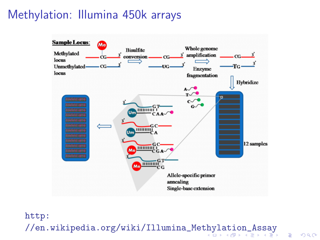## Methylation: Illumina 450k arrays



<span id="page-5-0"></span>[http:](http://en.wikipedia.org/wiki/Illumina_Methylation_Assay) [//en.wikipedia.org/wiki/Illumina\\_Methylation\\_Assay](http://en.wikipedia.org/wiki/Illumina_Methylation_Assay)

 $2990$ 

B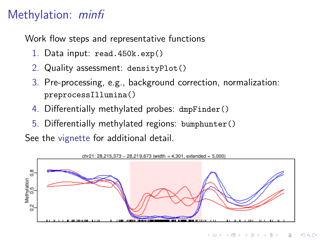# Methylation: [minfi](http://bioconductor.org/packages/release/bioc/html/minfi.html)

Work flow steps and representative functions

- 1. Data input: read.450k.exp()
- 2. Quality assessment: densityPlot()
- 3. Pre-processing, e.g., background correction, normalization: preprocessIllumina()
- 4. Differentially methylated probes: dmpFinder()
- 5. Differentially methylated regions: bumphunter()

See the [vignette](http://bioconductor.org/packages/release/bioc/html/minfi.html) for additional detail.

<span id="page-6-0"></span>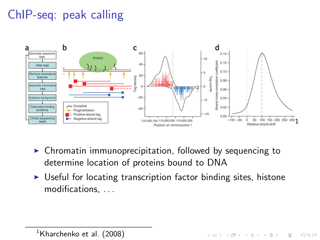# ChIP-seq: peak calling



- $\triangleright$  Chromatin immunoprecipitation, followed by sequencing to determine location of proteins bound to DNA
- $\triangleright$  Useful for locating transcription factor binding sites, histone modifications, . . .

**KORK EXTERNE PROVIDE** 

<span id="page-7-0"></span> $<sup>1</sup>$ Kharchenko et al. (2008)</sup>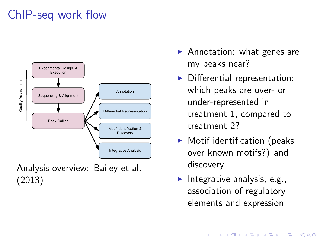# ChIP-seq work flow



Analysis overview: Bailey et al. (2013)

- $\blacktriangleright$  Annotation: what genes are my peaks near?
- $\blacktriangleright$  Differential representation: which peaks are over- or under-represented in treatment 1, compared to treatment 2?
- $\blacktriangleright$  Motif identification (peaks over known motifs?) and discovery
- Integrative analysis, e.g., association of regulatory elements and expression

**KORKARYKERKER POLO**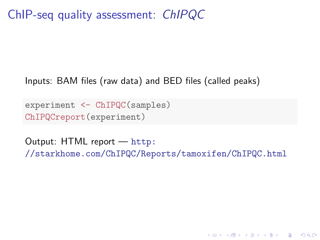ChIP-seq quality assessment: [ChIPQC](http://bioconductor.org/packages/release/bioc/html/ChIPQC.html)

#### Inputs: BAM files (raw data) and BED files (called peaks)

experiment <- ChIPQC(samples) ChIPQCreport(experiment)

Output: HTML report — [http:](http://starkhome.com/ChIPQC/Reports/tamoxifen/ChIPQC.html) [//starkhome.com/ChIPQC/Reports/tamoxifen/ChIPQC.html](http://starkhome.com/ChIPQC/Reports/tamoxifen/ChIPQC.html)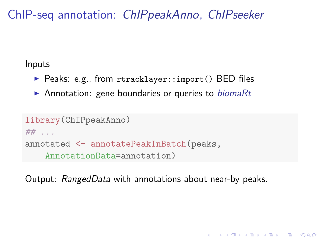ChIP-seq annotation: [ChIPpeakAnno](http://bioconductor.org/packages/release/bioc/html/ChIPpeakAnno.html), [ChIPseeker](http://bioconductor.org/packages/release/bioc/html/ChIPseeker.html)

Inputs

- ▶ Peaks: e.g., from rtracklayer::import() BED files
- Annotation: gene boundaries or queries to *[biomaRt](http://bioconductor.org/packages/release/bioc/html/biomaRt.html)*

```
library(ChIPpeakAnno)
## . . .
annotated <- annotatePeakInBatch(peaks,
    AnnotationData=annotation)
```
Output: RangedData with annotations about near-by peaks.

**KORKARYKERKER POLO**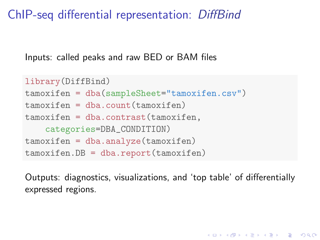ChIP-seq differential representation: [DiffBind](http://bioconductor.org/packages/release/bioc/html/DiffBind.html)

Inputs: called peaks and raw BED or BAM files

```
library(DiffBind)
tamoxifen = dba(sampleSheet="tamoxifen.csv")
tamoxifen = dba.count(tamoxifen)
tamoxifen = dba.contrast(tamoxifen.
    categories=DBA_CONDITION)
tamoxifen = dba.analyze(tamoxifen)
tamoxifen.DB = dba.report(tamoxifen)
```
Outputs: diagnostics, visualizations, and 'top table' of differentially expressed regions.

4 0 > 4 4 + 4 = + 4 = + = + + 0 4 0 +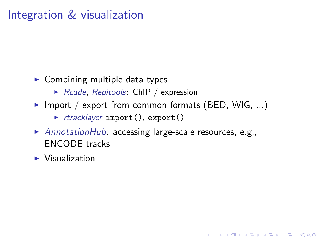- $\triangleright$  Combining multiple data types
	- $\triangleright$  [Rcade](http://bioconductor.org/packages/release/bioc/html/Rcade.html), [Repitools](http://bioconductor.org/packages/release/bioc/html/Repitools.html): ChIP / expression
- Import / export from common formats (BED, WIG, ...)
	- $\triangleright$  [rtracklayer](http://bioconductor.org/packages/release/bioc/html/rtracklayer.html) import(), export()
- [AnnotationHub](http://bioconductor.org/packages/release/bioc/html/AnnotationHub.html): accessing large-scale resources, e.g., ENCODE tracks

**KORKARYKERKER POLO** 

 $\blacktriangleright$  Visualization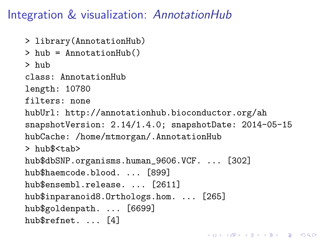# Integration & visualization: [AnnotationHub](http://bioconductor.org/packages/release/bioc/html/AnnotationHub.html)

- > library(AnnotationHub)
- > hub = AnnotationHub()

> hub

class: AnnotationHub

length: 10780

filters: none

hubUrl: http://annotationhub.bioconductor.org/ah snapshotVersion: 2.14/1.4.0; snapshotDate: 2014-05-15 hubCache: /home/mtmorgan/.AnnotationHub

4 0 > 4 4 + 4 = + 4 = + = + + 0 4 0 +

> hub\$<tab>

hub\$dbSNP.organisms.human\_9606.VCF. ... [302] hub\$haemcode.blood. ... [899] hub\$ensembl.release. ... [2611] hub\$inparanoid8.Orthologs.hom. ... [265] hub\$goldenpath. ... [6699] hub\$refnet. ... [4]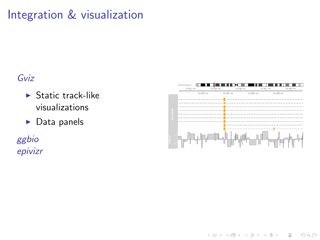#### [Gviz](http://bioconductor.org/packages/release/bioc/html/Gviz.html)

- $\blacktriangleright$  Static track-like visualizations
- $\blacktriangleright$  Data panels

[ggbio](http://bioconductor.org/packages/release/bioc/html/ggbio.html) [epivizr](http://bioconductor.org/packages/release/bioc/html/epivizr.html)



 $A \equiv 1 + 4 \sqrt{10} \times 4 \sqrt{10} \times 4 \sqrt{10} \times 1 \sqrt{10} \times 1$ 

 $2Q$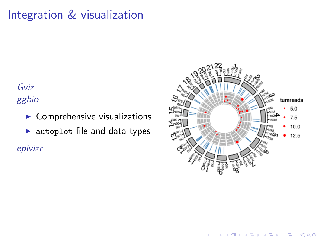[Gviz](http://bioconductor.org/packages/release/bioc/html/Gviz.html) [ggbio](http://bioconductor.org/packages/release/bioc/html/ggbio.html)

- $\blacktriangleright$  Comprehensive visualizations
- $\blacktriangleright$  autoplot file and data types

[epivizr](http://bioconductor.org/packages/release/bioc/html/epivizr.html)



 $2Q$ 

Ξ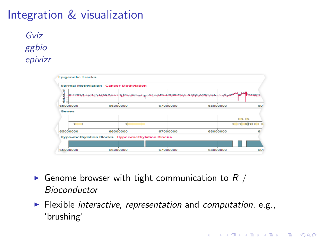[Gviz](http://bioconductor.org/packages/release/bioc/html/Gviz.html) [ggbio](http://bioconductor.org/packages/release/bioc/html/ggbio.html) [epivizr](http://bioconductor.org/packages/release/bioc/html/epivizr.html)

|                  | <b>Normal Methylation Cancer Methylation</b>            |                                                                                         |          |                  |
|------------------|---------------------------------------------------------|-----------------------------------------------------------------------------------------|----------|------------------|
| <b>DIAVOILAD</b> |                                                         | <u>nti komunikalisen sena saman telusahan selintan tertengan kustatuda tertengan ku</u> |          |                  |
| 65000000         | 66000000                                                | 67000000                                                                                | 68000000 | 69               |
| Genes            |                                                         |                                                                                         |          |                  |
|                  |                                                         |                                                                                         |          | $\triangleright$ |
|                  |                                                         |                                                                                         |          |                  |
|                  |                                                         |                                                                                         |          |                  |
|                  | 66000000                                                | 67000000                                                                                | 68000000 | R                |
|                  | <b>Hypo-methylation Blocks Hyper-methylation Blocks</b> |                                                                                         |          |                  |
| 65000000         |                                                         |                                                                                         |          |                  |

- Genome browser with tight communication to  $R /$ Bioconductor
- $\blacktriangleright$  Flexible *interactive, representation* and *computation*, e.g., 'brushing'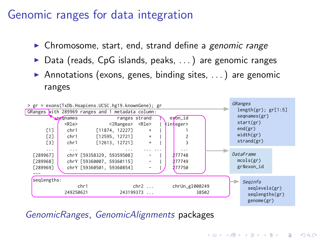#### Genomic ranges for data integration

- $\triangleright$  Chromosome, start, end, strand define a genomic range
- $\triangleright$  Data (reads, CpG islands, peaks, ...) are genomic ranges
- Annotations (exons, genes, binding sites,  $\dots$ ) are genomic ranges



[GenomicRanges](http://bioconductor.org/packages/release/bioc/html/GenomicRanges.html), [GenomicAlignments](http://bioconductor.org/packages/release/bioc/html/GenomicAlignments.html) packages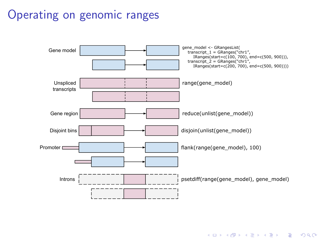# Operating on genomic ranges



K ロ ▶ K 個 ▶ K 할 ▶ K 할 ▶ 이 할 → 이익 @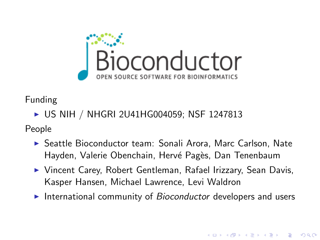

Funding

▶ US NIH / NHGRI 2U41HG004059; NSF 1247813

People

- ▶ Seattle Bioconductor team: Sonali Arora, Marc Carlson, Nate Hayden, Valerie Obenchain, Hervé Pagès, Dan Tenenbaum
- ▶ Vincent Carey, Robert Gentleman, Rafael Irizzary, Sean Davis, Kasper Hansen, Michael Lawrence, Levi Waldron
- International community of Bioconductor developers and users